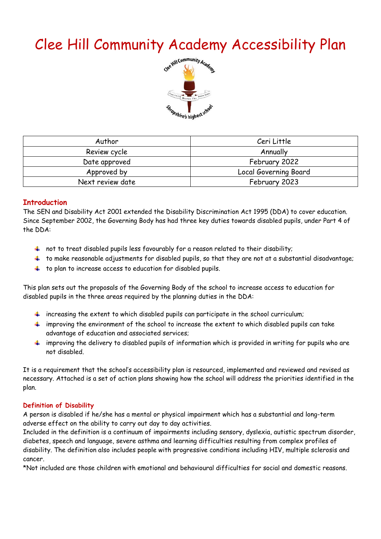# Clee Hill Community Academy Accessibility Plan



| Author           | Ceri Little           |  |  |
|------------------|-----------------------|--|--|
| Review cycle     | Annually              |  |  |
| Date approved    | February 2022         |  |  |
| Approved by      | Local Governing Board |  |  |
| Next review date | February 2023         |  |  |

#### **Introduction**

The SEN and Disability Act 2001 extended the Disability Discrimination Act 1995 (DDA) to cover education. Since September 2002, the Governing Body has had three key duties towards disabled pupils, under Part 4 of the DDA:

- $+$  not to treat disabled pupils less favourably for a reason related to their disability;
- $\ddot{\phantom{1}}$  to make reasonable adjustments for disabled pupils, so that they are not at a substantial disadvantage;
- $\ddot{\phantom{1}}$  to plan to increase access to education for disabled pupils.

This plan sets out the proposals of the Governing Body of the school to increase access to education for disabled pupils in the three areas required by the planning duties in the DDA:

- $\ddot{\phantom{1}}$  increasing the extent to which disabled pupils can participate in the school curriculum;
- $\ddot{\phantom{1}}$  improving the environment of the school to increase the extent to which disabled pupils can take advantage of education and associated services;
- $\ddot{\phantom{1}}$  improving the delivery to disabled pupils of information which is provided in writing for pupils who are not disabled.

It is a requirement that the school's accessibility plan is resourced, implemented and reviewed and revised as necessary. Attached is a set of action plans showing how the school will address the priorities identified in the plan.

#### **Definition of Disability**

A person is disabled if he/she has a mental or physical impairment which has a substantial and long-term adverse effect on the ability to carry out day to day activities.

Included in the definition is a continuum of impairments including sensory, dyslexia, autistic spectrum disorder, diabetes, speech and language, severe asthma and learning difficulties resulting from complex profiles of disability. The definition also includes people with progressive conditions including HIV, multiple sclerosis and cancer.

\*Not included are those children with emotional and behavioural difficulties for social and domestic reasons.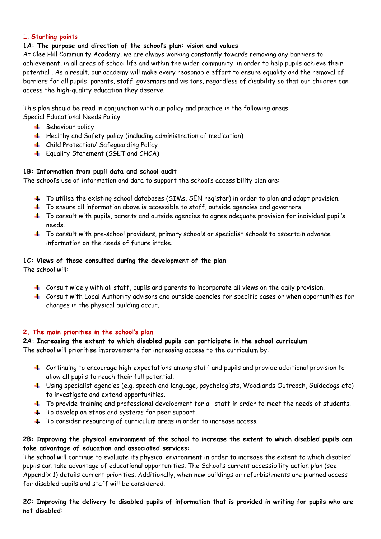#### 1. **Starting points**

#### **1A: The purpose and direction of the school's plan: vision and values**

At Clee Hill Community Academy, we are always working constantly towards removing any barriers to achievement, in all areas of school life and within the wider community, in order to help pupils achieve their potential . As a result, our academy will make every reasonable effort to ensure equality and the removal of barriers for all pupils, parents, staff, governors and visitors, regardless of disability so that our children can access the high-quality education they deserve.

This plan should be read in conjunction with our policy and practice in the following areas: Special Educational Needs Policy

- $\textcolor{red}{\textbf{#}}$  Behaviour policy
- Healthy and Safety policy (including administration of medication)
- Child Protection/ Safeguarding Policy
- **Equality Statement (SGET and CHCA)**

#### **1B: Information from pupil data and school audit**

The school's use of information and data to support the school's accessibility plan are:

- To utilise the existing school databases (SIMs, SEN register) in order to plan and adapt provision.
- <sup>+</sup> To ensure all information above is accessible to staff, outside agencies and governors.
- To consult with pupils, parents and outside agencies to agree adequate provision for individual pupil's needs.
- $\ddot{\bullet}$  To consult with pre-school providers, primary schools or specialist schools to ascertain advance information on the needs of future intake.

#### **1C: Views of those consulted during the development of the plan**

The school will:

- $\,$  Consult widely with all staff, pupils and parents to incorporate all views on the daily provision.
- Consult with Local Authority advisors and outside agencies for specific cases or when opportunities for changes in the physical building occur.

#### **2. The main priorities in the school's plan**

## **2A: Increasing the extent to which disabled pupils can participate in the school curriculum**

The school will prioritise improvements for increasing access to the curriculum by:

- $\pm$  Continuing to encourage high expectations among staff and pupils and provide additional provision to allow all pupils to reach their full potential.
- Using specialist agencies (e.g. speech and language, psychologists, Woodlands Outreach, Guidedogs etc) to investigate and extend opportunities.
- $\pm$  To provide training and professional development for all staff in order to meet the needs of students.
- $\ddot{\phantom{1}}$  To develop an ethos and systems for peer support.
- To consider resourcing of curriculum areas in order to increase access.

#### **2B: Improving the physical environment of the school to increase the extent to which disabled pupils can take advantage of education and associated services:**

The school will continue to evaluate its physical environment in order to increase the extent to which disabled pupils can take advantage of educational opportunities. The School's current accessibility action plan (see Appendix 1) details current priorities. Additionally, when new buildings or refurbishments are planned access for disabled pupils and staff will be considered.

**2C: Improving the delivery to disabled pupils of information that is provided in writing for pupils who are not disabled:**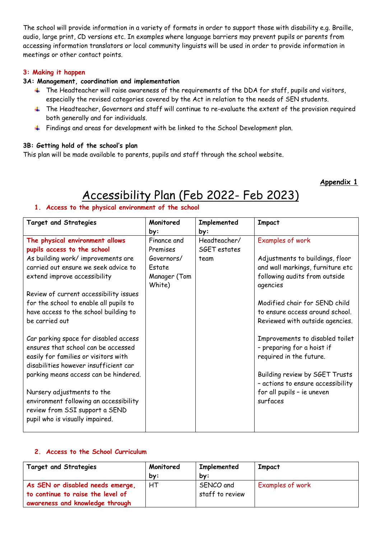The school will provide information in a variety of formats in order to support those with disability e.g. Braille, audio, large print, CD versions etc. In examples where language barriers may prevent pupils or parents from accessing information translators or local community linguists will be used in order to provide information in meetings or other contact points.

#### **3: Making it happen**

#### **3A: Management, coordination and implementation**

- $\ddot{\phantom{1}}$  The Headteacher will raise awareness of the requirements of the DDA for staff, pupils and visitors, especially the revised categories covered by the Act in relation to the needs of SEN students.
- <sup>+</sup> The Headteacher, Governors and staff will continue to re-evaluate the extent of the provision required both generally and for individuals.
- Findings and areas for development with be linked to the School Development plan.

#### **3B: Getting hold of the school's plan**

This plan will be made available to parents, pupils and staff through the school website.

#### **Appendix 1**

## Accessibility Plan (Feb 2022- Feb 2023)

#### **1. Access to the physical environment of the school**

| Monitored              | Implemented  | <b>Impact</b>                                                                            |
|------------------------|--------------|------------------------------------------------------------------------------------------|
| by:                    | by:          |                                                                                          |
| Finance and            | Headteacher/ | Examples of work                                                                         |
| Premises               | SGET estates |                                                                                          |
| Governors/             | team         | Adjustments to buildings, floor                                                          |
| Estate                 |              | and wall markings, furniture etc                                                         |
| Manager (Tom<br>White) |              | following audits from outside<br>agencies                                                |
|                        |              |                                                                                          |
|                        |              | Modified chair for SEND child                                                            |
|                        |              | to ensure access around school.                                                          |
|                        |              | Reviewed with outside agencies.                                                          |
|                        |              | Improvements to disabled toilet<br>- preparing for a hoist if<br>required in the future. |
|                        |              | Building review by SGET Trusts<br>- actions to ensure accessibility                      |
|                        |              | for all pupils - ie uneven                                                               |
|                        |              | surfaces                                                                                 |
|                        |              |                                                                                          |

#### **2. Access to the School Curriculum**

| <b>Target and Strategies</b>      | Monitored | Implemented     | <b>Impact</b>    |
|-----------------------------------|-----------|-----------------|------------------|
|                                   | by:       | bv:             |                  |
| As SEN or disabled needs emerge,  | HТ        | SENCO and       | Examples of work |
| to continue to raise the level of |           | staff to review |                  |
| awareness and knowledge through   |           |                 |                  |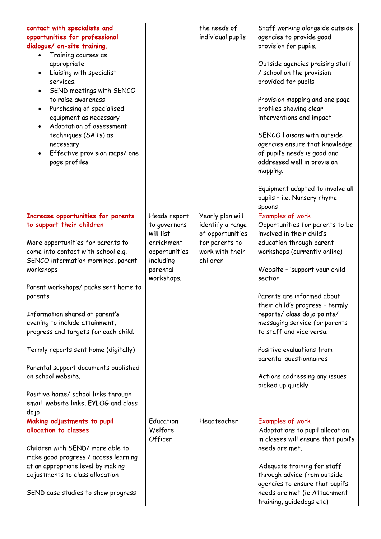| contact with specialists and<br>opportunities for professional<br>dialogue/ on-site training.<br>Training courses as<br>$\bullet$<br>appropriate<br>Liaising with specialist<br>$\bullet$<br>services.<br>SEND meetings with SENCO<br>$\bullet$<br>to raise awareness<br>Purchasing of specialised<br>$\bullet$<br>equipment as necessary<br>Adaptation of assessment<br>$\bullet$<br>techniques (SATs) as<br>necessary<br>Effective provision maps/ one<br>page profiles |                                           | the needs of<br>individual pupils                        | Staff working alongside outside<br>agencies to provide good<br>provision for pupils.<br>Outside agencies praising staff<br>/ school on the provision<br>provided for pupils<br>Provision mapping and one page<br>profiles showing clear<br>interventions and impact<br>SENCO liaisons with outside<br>agencies ensure that knowledge<br>of pupil's needs is good and<br>addressed well in provision<br>mapping.<br>Equipment adapted to involve all<br>pupils - i.e. Nursery rhyme<br>spoons |
|---------------------------------------------------------------------------------------------------------------------------------------------------------------------------------------------------------------------------------------------------------------------------------------------------------------------------------------------------------------------------------------------------------------------------------------------------------------------------|-------------------------------------------|----------------------------------------------------------|----------------------------------------------------------------------------------------------------------------------------------------------------------------------------------------------------------------------------------------------------------------------------------------------------------------------------------------------------------------------------------------------------------------------------------------------------------------------------------------------|
| Increase opportunities for parents<br>to support their children                                                                                                                                                                                                                                                                                                                                                                                                           | Heads report<br>to governors<br>will list | Yearly plan will<br>identify a range<br>of opportunities | Examples of work<br>Opportunities for parents to be<br>involved in their child's                                                                                                                                                                                                                                                                                                                                                                                                             |
| More opportunities for parents to                                                                                                                                                                                                                                                                                                                                                                                                                                         | enrichment                                | for parents to                                           | education through parent                                                                                                                                                                                                                                                                                                                                                                                                                                                                     |
| come into contact with school e.g.                                                                                                                                                                                                                                                                                                                                                                                                                                        | opportunities                             | work with their                                          | workshops (currently online)                                                                                                                                                                                                                                                                                                                                                                                                                                                                 |
| SENCO information mornings, parent                                                                                                                                                                                                                                                                                                                                                                                                                                        | including                                 | children                                                 |                                                                                                                                                                                                                                                                                                                                                                                                                                                                                              |
| workshops                                                                                                                                                                                                                                                                                                                                                                                                                                                                 | parental<br>workshops.                    |                                                          | Website - 'support your child<br>section'                                                                                                                                                                                                                                                                                                                                                                                                                                                    |
| Parent workshops/ packs sent home to                                                                                                                                                                                                                                                                                                                                                                                                                                      |                                           |                                                          |                                                                                                                                                                                                                                                                                                                                                                                                                                                                                              |
| parents                                                                                                                                                                                                                                                                                                                                                                                                                                                                   |                                           |                                                          | Parents are informed about                                                                                                                                                                                                                                                                                                                                                                                                                                                                   |
|                                                                                                                                                                                                                                                                                                                                                                                                                                                                           |                                           |                                                          | their child's progress - termly                                                                                                                                                                                                                                                                                                                                                                                                                                                              |
| Information shared at parent's                                                                                                                                                                                                                                                                                                                                                                                                                                            |                                           |                                                          | reports/ class dojo points/                                                                                                                                                                                                                                                                                                                                                                                                                                                                  |
| evening to include attainment,<br>progress and targets for each child.                                                                                                                                                                                                                                                                                                                                                                                                    |                                           |                                                          | messaging service for parents<br>to staff and vice versa.                                                                                                                                                                                                                                                                                                                                                                                                                                    |
|                                                                                                                                                                                                                                                                                                                                                                                                                                                                           |                                           |                                                          |                                                                                                                                                                                                                                                                                                                                                                                                                                                                                              |
| Termly reports sent home (digitally)                                                                                                                                                                                                                                                                                                                                                                                                                                      |                                           |                                                          | Positive evaluations from<br>parental questionnaires                                                                                                                                                                                                                                                                                                                                                                                                                                         |
| Parental support documents published                                                                                                                                                                                                                                                                                                                                                                                                                                      |                                           |                                                          |                                                                                                                                                                                                                                                                                                                                                                                                                                                                                              |
| on school website.                                                                                                                                                                                                                                                                                                                                                                                                                                                        |                                           |                                                          | Actions addressing any issues<br>picked up quickly                                                                                                                                                                                                                                                                                                                                                                                                                                           |
| Positive home/ school links through                                                                                                                                                                                                                                                                                                                                                                                                                                       |                                           |                                                          |                                                                                                                                                                                                                                                                                                                                                                                                                                                                                              |
| email, website links, EYLOG and class                                                                                                                                                                                                                                                                                                                                                                                                                                     |                                           |                                                          |                                                                                                                                                                                                                                                                                                                                                                                                                                                                                              |
| dojo<br>Making adjustments to pupil                                                                                                                                                                                                                                                                                                                                                                                                                                       | Education                                 | Headteacher                                              | Examples of work                                                                                                                                                                                                                                                                                                                                                                                                                                                                             |
| allocation to classes                                                                                                                                                                                                                                                                                                                                                                                                                                                     | Welfare                                   |                                                          | Adaptations to pupil allocation                                                                                                                                                                                                                                                                                                                                                                                                                                                              |
|                                                                                                                                                                                                                                                                                                                                                                                                                                                                           | Officer                                   |                                                          | in classes will ensure that pupil's                                                                                                                                                                                                                                                                                                                                                                                                                                                          |
| Children with SEND/ more able to                                                                                                                                                                                                                                                                                                                                                                                                                                          |                                           |                                                          | needs are met.                                                                                                                                                                                                                                                                                                                                                                                                                                                                               |
| make good progress / access learning                                                                                                                                                                                                                                                                                                                                                                                                                                      |                                           |                                                          |                                                                                                                                                                                                                                                                                                                                                                                                                                                                                              |
| at an appropriate level by making                                                                                                                                                                                                                                                                                                                                                                                                                                         |                                           |                                                          | Adequate training for staff                                                                                                                                                                                                                                                                                                                                                                                                                                                                  |
| adjustments to class allocation                                                                                                                                                                                                                                                                                                                                                                                                                                           |                                           |                                                          | through advice from outside<br>agencies to ensure that pupil's                                                                                                                                                                                                                                                                                                                                                                                                                               |
| SEND case studies to show progress                                                                                                                                                                                                                                                                                                                                                                                                                                        |                                           |                                                          | needs are met (ie Attachment<br>training, guidedogs etc)                                                                                                                                                                                                                                                                                                                                                                                                                                     |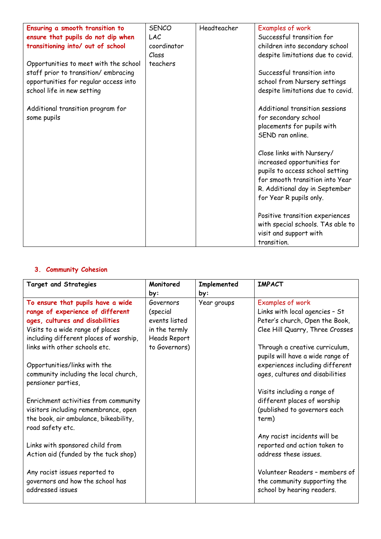| Ensuring a smooth transition to       | <b>SENCO</b> | Headteacher | Examples of work                  |
|---------------------------------------|--------------|-------------|-----------------------------------|
| ensure that pupils do not dip when    | LAC          |             | Successful transition for         |
| transitioning into/ out of school     | coordinator  |             | children into secondary school    |
|                                       | Class        |             | despite limitations due to covid. |
| Opportunities to meet with the school | teachers     |             |                                   |
| staff prior to transition/embracing   |              |             | Successful transition into        |
| opportunities for regular access into |              |             | school from Nursery settings      |
| school life in new setting            |              |             | despite limitations due to covid. |
|                                       |              |             |                                   |
| Additional transition program for     |              |             | Additional transition sessions    |
| some pupils                           |              |             | for secondary school              |
|                                       |              |             | placements for pupils with        |
|                                       |              |             | SEND ran online.                  |
|                                       |              |             |                                   |
|                                       |              |             | Close links with Nursery/         |
|                                       |              |             | increased opportunities for       |
|                                       |              |             | pupils to access school setting   |
|                                       |              |             | for smooth transition into Year   |
|                                       |              |             | R. Additional day in September    |
|                                       |              |             | for Year R pupils only.           |
|                                       |              |             |                                   |
|                                       |              |             | Positive transition experiences   |
|                                       |              |             | with special schools. TAs able to |
|                                       |              |             | visit and support with            |
|                                       |              |             | transition.                       |

### **3. Community Cohesion**

| <b>Target and Strategies</b>           | Monitored           | Implemented | <b>IMPACT</b>                    |
|----------------------------------------|---------------------|-------------|----------------------------------|
|                                        | by:                 | by:         |                                  |
| To ensure that pupils have a wide      | Governors           | Year groups | Examples of work                 |
| range of experience of different       | (special            |             | Links with local agencies - St   |
| ages, cultures and disabilities        | events listed       |             | Peter's church, Open the Book,   |
| Visits to a wide range of places       | in the termly       |             | Clee Hill Quarry, Three Crosses  |
| including different places of worship, | <b>Heads Report</b> |             |                                  |
| links with other schools etc.          | to Governors)       |             | Through a creative curriculum,   |
|                                        |                     |             | pupils will have a wide range of |
| Opportunities/links with the           |                     |             | experiences including different  |
| community including the local church,  |                     |             | ages, cultures and disabilities  |
| pensioner parties,                     |                     |             |                                  |
|                                        |                     |             | Visits including a range of      |
| Enrichment activities from community   |                     |             | different places of worship      |
| visitors including remembrance, open   |                     |             | (published to governors each     |
| the book, air ambulance, bikeability,  |                     |             | term)                            |
| road safety etc.                       |                     |             |                                  |
|                                        |                     |             | Any racist incidents will be     |
| Links with sponsored child from        |                     |             | reported and action taken to     |
| Action aid (funded by the tuck shop)   |                     |             | address these issues.            |
|                                        |                     |             |                                  |
| Any racist issues reported to          |                     |             | Volunteer Readers - members of   |
| governors and how the school has       |                     |             | the community supporting the     |
| addressed issues                       |                     |             | school by hearing readers.       |
|                                        |                     |             |                                  |